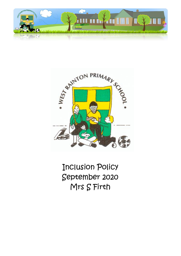



Inclusion Policy September 2020 Mrs S Firth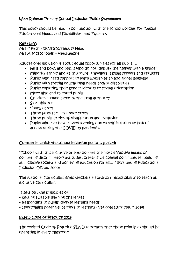# West Rainton Primary School Inclusion Policy Statement:

This policy should be read in conjunction with the school policies for Special Educational Needs and Disabilities, and Equality.

# Key staff:

Mrs S Firth - SENDCo/Deputy Head Mrs A McDonough - Headteacher

Educational inclusion is about equal opportunities for all pupils….

- Girls and boys, and pupils who do not identify themselves with a gender
- Minority ethnic and faith groups, travellers, asylum seekers and refugees
- Pupils who need support to learn English as an additional language
- Pupils with special educational needs and/or disabilities
- Pupils exploring their gender identity or sexual orientation
- More able and talented pupils
- Children 'looked after' by the local authority
- Sick children
- Young carers
- Those from families under stress
- Those pupils at risk of disaffection and exclusion
- Pupils who may have missed learning due to self-isolation or lack of access during the COVID-19 pandemic.

# Context in which the school inclusion policy is placed:

"Schools with this inclusive orientation are the most effective means of combating discriminatory attitudes, creating welcoming communities, building an inclusive society and achieving education for all…." (Evaluating Educational Inclusion Ofsted 2000)

The National Curriculum gives teachers a statutory responsibility to teach an inclusive curriculum.

It sets out the principles of:

- Setting suitable learning challenges
- Responding to pupils' diverse learning needs
- Overcoming potential barriers to learning (National Curriculum 2014)

# SEND Code of Practice 2014

The revised Code of Practice SEND reiterates that these principles should be operating in every classroom: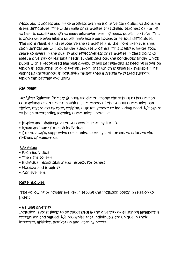Most pupils access and make progress with an inclusive curriculum without any great difficulties. The wide range of strategies that skilled teachers can bring to bear is usually enough to meet whatever learning needs pupils may have. This is often true even where pupils have more persistent or serious difficulties. The more flexible and responsive the strategies are, the more likely it is that such difficulties will not hinder adequate progress. This is why it makes good sense to invest in the quality and effectiveness of strategies in classrooms to meet a diversity of learning needs. It then sets out the conditions under which pupils with a recognised learning difficulty will be regarded as needing provision which is 'additional to or different from' that which is generally available. The emphasis throughout is inclusivity rather than a system of staged support which can become excluding.

# Rationale:

At West Rainton Primary School, we aim to enable the school to become an educational environment in which all members of the school community can thrive, regardless of race, religion, culture, gender or individual need. We aspire to be an outstanding learning community where we:

- Inspire and challenge all to succeed in learning for life
- Know and care for each individual

• Create a safe, supportive community, working with others to educate the citizens of tomorrow.

# We value:

- Each individual
- The right to learn
- Individual responsibility and respect for others
- Honesty and integrity
- Achievement

# Key Principles:

The following principles are key in setting the Inclusion policy in relation to SEND:

# • Valuing diversity

Inclusion is most likely to be successful if the diversity of all school members is recognised and valued. We recognise that individuals are unique in their interests, abilities, motivation and learning needs.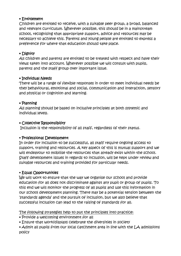#### • Entitlement

Children are entitled to receive, with a suitable peer group, a broad, balanced and relevant curriculum. Wherever possible, this should be in a mainstream school, recognising that appropriate support, advice and resources may be necessary to achieve this. Parents and young people are entitled to express a preference for where that education should take place.

# • Dignity

All children and parents are entitled to be treated with respect and have their views taken into account. Wherever possible we will consult with pupils, parents and the staff group over important issue.

# • Individual Needs

There will be a range of flexible responses in order to meet individual needs be they behavioural, emotional and social, communication and interaction, sensory and physical or cognition and learning.

#### • Planning

All planning should be based on inclusive principles at both systemic and individual levels.

#### • Collective Responsibility

Inclusion is the responsibility of all staff, regardless of their status.

# • Professional Development

In order for inclusion to be successful, all staff require ongoing access to support, training and resources. A key aspect of this is mutual support and we will endeavour to mobilise the resources that already exist within the school. Staff development issues in regards to inclusion, will be kept under review and suitable resources and training provided for particular needs.

# • Equal Opportunities

We will work to ensure that the way we organise our school and provide education for all does not discriminate against any pupil or group of pupils. To this end we will monitor the progress of all pupils and use this information in our school development planning. There may be a potential tension between the 'standards agenda' and the pursuit of inclusion, but we also believe that successful inclusion can lead to the raising of standards for all.

The following strategies help to put the principles into practice:

• Provide a welcoming environment for all

• Ensure that work/displays celebrate the diversities in society

• Admit all pupils from our local catchment area in line with the LA admissions policy